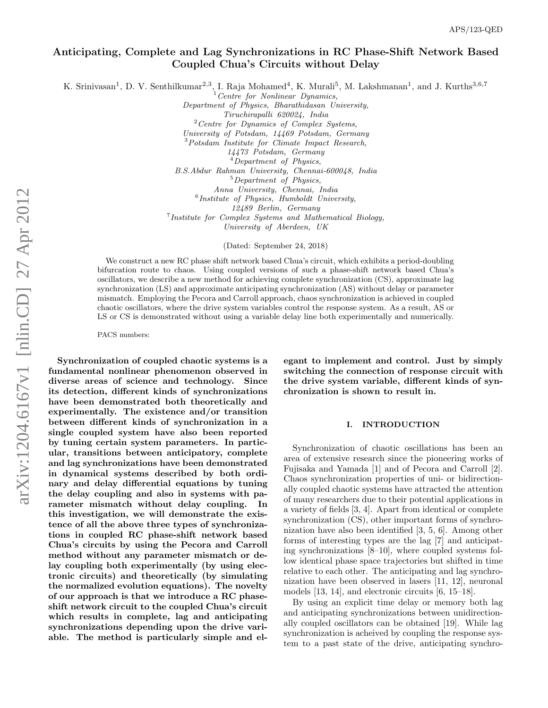# Anticipating, Complete and Lag Synchronizations in RC Phase-Shift Network Based Coupled Chua's Circuits without Delay

K. Srinivasan<sup>1</sup>, D. V. Senthilkumar<sup>2,3</sup>, I. Raja Mohamed<sup>4</sup>, K. Murali<sup>5</sup>, M. Lakshmanan<sup>1</sup>, and J. Kurths<sup>3,6,7</sup>

<sup>1</sup>*Centre for Nonlinear Dynamics,*

*Department of Physics, Bharathidasan University, Tiruchirapalli 620024, India* <sup>2</sup>*Centre for Dynamics of Complex Systems, University of Potsdam, 14469 Potsdam, Germany* <sup>3</sup>*Potsdam Institute for Climate Impact Research, 14473 Potsdam, Germany* <sup>4</sup>*Department of Physics, B.S.Abdur Rahman University, Chennai-600048, India* <sup>5</sup>*Department of Physics, Anna University, Chennai, India* 6 *Institute of Physics, Humboldt University,*

*12489 Berlin, Germany*

7 *Institute for Complex Systems and Mathematical Biology, University of Aberdeen, UK*

(Dated: September 24, 2018)

We construct a new RC phase shift network based Chua's circuit, which exhibits a period-doubling bifurcation route to chaos. Using coupled versions of such a phase-shift network based Chua's oscillators, we describe a new method for achieving complete synchronization (CS), approximate lag synchronization (LS) and approximate anticipating synchronization (AS) without delay or parameter mismatch. Employing the Pecora and Carroll approach, chaos synchronization is achieved in coupled chaotic oscillators, where the drive system variables control the response system. As a result, AS or LS or CS is demonstrated without using a variable delay line both experimentally and numerically.

PACS numbers:

Synchronization of coupled chaotic systems is a fundamental nonlinear phenomenon observed in diverse areas of science and technology. Since its detection, different kinds of synchronizations have been demonstrated both theoretically and experimentally. The existence and/or transition between different kinds of synchronization in a single coupled system have also been reported by tuning certain system parameters. In particular, transitions between anticipatory, complete and lag synchronizations have been demonstrated in dynamical systems described by both ordinary and delay differential equations by tuning the delay coupling and also in systems with parameter mismatch without delay coupling. In this investigation, we will demonstrate the existence of all the above three types of synchronizations in coupled RC phase-shift network based Chua's circuits by using the Pecora and Carroll method without any parameter mismatch or delay coupling both experimentally (by using electronic circuits) and theoretically (by simulating the normalized evolution equations). The novelty of our approach is that we introduce a RC phaseshift network circuit to the coupled Chua's circuit which results in complete, lag and anticipating synchronizations depending upon the drive variable. The method is particularly simple and el-

egant to implement and control. Just by simply switching the connection of response circuit with the drive system variable, different kinds of synchronization is shown to result in.

## I. INTRODUCTION

Synchronization of chaotic oscillations has been an area of extensive research since the pioneering works of Fujisaka and Yamada [1] and of Pecora and Carroll [2]. Chaos synchronization properties of uni- or bidirectionally coupled chaotic systems have attracted the attention of many researchers due to their potential applications in a variety of fields [3, 4]. Apart from identical or complete synchronization  $\text{(CS)}$ , other important forms of synchronization have also been identified [3, 5, 6]. Among other forms of interesting types are the lag [7] and anticipating synchronizations [8–10], where coupled systems follow identical phase space trajectories but shifted in time relative to each other. The anticipating and lag synchronization have been observed in lasers [11, 12], neuronal models [13, 14], and electronic circuits [6, 15–18].

By using an explicit time delay or memory both lag and anticipating synchronizations between unidirectionally coupled oscillators can be obtained [19]. While lag synchronization is acheived by coupling the response system to a past state of the drive, anticipating synchro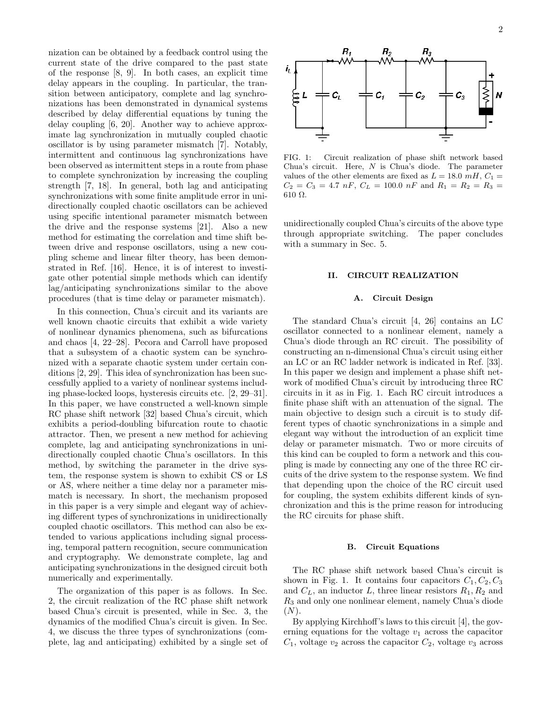nization can be obtained by a feedback control using the current state of the drive compared to the past state of the response [8, 9]. In both cases, an explicit time delay appears in the coupling. In particular, the transition between anticipatory, complete and lag synchronizations has been demonstrated in dynamical systems described by delay differential equations by tuning the delay coupling [6, 20]. Another way to achieve approximate lag synchronization in mutually coupled chaotic oscillator is by using parameter mismatch [7]. Notably, intermittent and continuous lag synchronizations have been observed as intermittent steps in a route from phase to complete synchronization by increasing the coupling strength [7, 18]. In general, both lag and anticipating synchronizations with some finite amplitude error in unidirectionally coupled chaotic oscillators can be achieved using specific intentional parameter mismatch between the drive and the response systems [21]. Also a new method for estimating the correlation and time shift between drive and response oscillators, using a new coupling scheme and linear filter theory, has been demonstrated in Ref. [16]. Hence, it is of interest to investigate other potential simple methods which can identify lag/anticipating synchronizations similar to the above procedures (that is time delay or parameter mismatch).

In this connection, Chua's circuit and its variants are well known chaotic circuits that exhibit a wide variety of nonlinear dynamics phenomena, such as bifurcations and chaos [4, 22–28]. Pecora and Carroll have proposed that a subsystem of a chaotic system can be synchronized with a separate chaotic system under certain conditions [2, 29]. This idea of synchronization has been successfully applied to a variety of nonlinear systems including phase-locked loops, hysteresis circuits etc. [2, 29–31]. In this paper, we have constructed a well-known simple RC phase shift network [32] based Chua's circuit, which exhibits a period-doubling bifurcation route to chaotic attractor. Then, we present a new method for achieving complete, lag and anticipating synchronizations in unidirectionally coupled chaotic Chua's oscillators. In this method, by switching the parameter in the drive system, the response system is shown to exhibit CS or LS or AS, where neither a time delay nor a parameter mismatch is necessary. In short, the mechanism proposed in this paper is a very simple and elegant way of achieving different types of synchronizations in unidirectionally coupled chaotic oscillators. This method can also be extended to various applications including signal processing, temporal pattern recognition, secure communication and cryptography. We demonstrate complete, lag and anticipating synchronizations in the designed circuit both numerically and experimentally.

The organization of this paper is as follows. In Sec. 2, the circuit realization of the RC phase shift network based Chua's circuit is presented, while in Sec. 3, the dynamics of the modified Chua's circuit is given. In Sec. 4, we discuss the three types of synchronizations (complete, lag and anticipating) exhibited by a single set of



FIG. 1: Circuit realization of phase shift network based Chua's circuit. Here, N is Chua's diode. The parameter values of the other elements are fixed as  $L = 18.0 \, mH, C_1 =$  $C_2 = C_3 = 4.7 \; nF, \; C_L = 100.0 \; nF \; \text{and} \; R_1 = R_2 = R_3 =$ 610 Ω.

unidirectionally coupled Chua's circuits of the above type through appropriate switching. The paper concludes with a summary in Sec. 5.

### II. CIRCUIT REALIZATION

### A. Circuit Design

The standard Chua's circuit [4, 26] contains an LC oscillator connected to a nonlinear element, namely a Chua's diode through an RC circuit. The possibility of constructing an n-dimensional Chua's circuit using either an LC or an RC ladder network is indicated in Ref. [33]. In this paper we design and implement a phase shift network of modified Chua's circuit by introducing three RC circuits in it as in Fig. 1. Each RC circuit introduces a finite phase shift with an attenuation of the signal. The main objective to design such a circuit is to study different types of chaotic synchronizations in a simple and elegant way without the introduction of an explicit time delay or parameter mismatch. Two or more circuits of this kind can be coupled to form a network and this coupling is made by connecting any one of the three RC circuits of the drive system to the response system. We find that depending upon the choice of the RC circuit used for coupling, the system exhibits different kinds of synchronization and this is the prime reason for introducing the RC circuits for phase shift.

### B. Circuit Equations

The RC phase shift network based Chua's circuit is shown in Fig. 1. It contains four capacitors  $C_1, C_2, C_3$ and  $C_L$ , an inductor L, three linear resistors  $R_1, R_2$  and  $R_3$  and only one nonlinear element, namely Chua's diode  $(N).$ 

By applying Kirchhoff's laws to this circuit [4], the governing equations for the voltage  $v_1$  across the capacitor  $C_1$ , voltage  $v_2$  across the capacitor  $C_2$ , voltage  $v_3$  across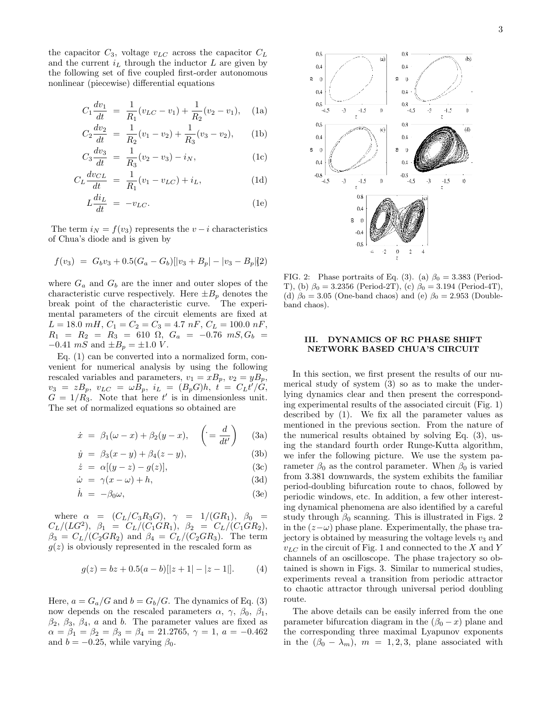the capacitor  $C_3$ , voltage  $v_{LC}$  across the capacitor  $C_L$ and the current  $i_L$  through the inductor L are given by the following set of five coupled first-order autonomous nonlinear (piecewise) differential equations

$$
C_1 \frac{dv_1}{dt} = \frac{1}{R_1}(v_{LC} - v_1) + \frac{1}{R_2}(v_2 - v_1), \quad \text{(1a)}
$$

$$
C_2 \frac{dv_2}{dt} = \frac{1}{R_2}(v_1 - v_2) + \frac{1}{R_3}(v_3 - v_2), \quad \text{(1b)}
$$

$$
C_3 \frac{dv_3}{dt} = \frac{1}{R_3}(v_2 - v_3) - i_N,
$$
 (1c)

$$
C_L \frac{dv_{CL}}{dt} = \frac{1}{R_1}(v_1 - v_{LC}) + i_L,
$$
 (1d)

$$
L\frac{di_L}{dt} = -v_{LC}.\tag{1e}
$$

The term  $i_N = f(v_3)$  represents the  $v - i$  characteristics of Chua's diode and is given by

$$
f(v_3) = G_b v_3 + 0.5(G_a - G_b)[|v_3 + B_p| - |v_3 - B_p|]2)
$$

where  $G_a$  and  $G_b$  are the inner and outer slopes of the characteristic curve respectively. Here  $\pm B_p$  denotes the break point of the characteristic curve. The experimental parameters of the circuit elements are fixed at  $L = 18.0$  mH,  $C_1 = C_2 = C_3 = 4.7$  nF,  $C_L = 100.0$  nF,  $R_1 = R_2 = R_3 = 610 \Omega, G_a = -0.76 \, mS, G_b =$ −0.41  $mS$  and  $\pm B_p = \pm 1.0$   $V.$ 

Eq. (1) can be converted into a normalized form, convenient for numerical analysis by using the following rescaled variables and parameters,  $v_1 = xB_p$ ,  $v_2 = yB_p$ ,  $v_3 = zB_p, v_{LC} = \omega B_p, i_L = (B_p G)h, t = C_L t'/G,$  $G = 1/R_3$ . Note that here t' is in dimensionless unit. The set of normalized equations so obtained are

$$
\dot{x} = \beta_1(\omega - x) + \beta_2(y - x), \quad \left( = \frac{d}{dt'} \right) \quad \text{(3a)}
$$

$$
\dot{y} = \beta_3(x - y) + \beta_4(z - y), \tag{3b}
$$

$$
\dot{z} = \alpha[(y-z) - g(z)], \tag{3c}
$$

$$
\dot{\omega} = \gamma(x - \omega) + h,\tag{3d}
$$

$$
\dot{h} = -\beta_0 \omega,\tag{3e}
$$

where  $\alpha$  =  $(C_L/C_3R_3G)$ ,  $\gamma$  =  $1/(GR_1)$ ,  $\beta_0$  =  $C_L/(LG^2), \ \ \beta_1 \ \ \stackrel{.}{=} \ \ \stackrel{.}{C_L}/(\stackrel{.}{C_1GR_1}), \ \ \beta_2 \ \ \stackrel{.}{=} \ \ \stackrel{.}{C_L}/(\stackrel{.}{C_1GR_2}),$  $\beta_3 = C_L/(C_2GR_2)$  and  $\beta_4 = C_L/(C_2GR_3)$ . The term  $g(z)$  is obviously represented in the rescaled form as

$$
g(z) = bz + 0.5(a - b)[|z + 1| - |z - 1|].
$$
 (4)

Here,  $a = G_a/G$  and  $b = G_b/G$ . The dynamics of Eq. (3) now depends on the rescaled parameters  $\alpha$ ,  $\gamma$ ,  $\beta_0$ ,  $\beta_1$ ,  $\beta_2$ ,  $\beta_3$ ,  $\beta_4$ , a and b. The parameter values are fixed as  $\alpha = \beta_1 = \beta_2 = \beta_3 = \beta_4 = 21.2765, \gamma = 1, a = -0.462$ and  $b = -0.25$ , while varying  $\beta_0$ .



FIG. 2: Phase portraits of Eq. (3). (a)  $\beta_0 = 3.383$  (Period-T), (b)  $\beta_0 = 3.2356$  (Period-2T), (c)  $\beta_0 = 3.194$  (Period-4T), (d)  $\beta_0 = 3.05$  (One-band chaos) and (e)  $\beta_0 = 2.953$  (Doubleband chaos).

# III. DYNAMICS OF RC PHASE SHIFT NETWORK BASED CHUA'S CIRCUIT

In this section, we first present the results of our numerical study of system (3) so as to make the underlying dynamics clear and then present the corresponding experimental results of the associated circuit (Fig. 1) described by (1). We fix all the parameter values as mentioned in the previous section. From the nature of the numerical results obtained by solving Eq. (3), using the standard fourth order Runge-Kutta algorithm, we infer the following picture. We use the system parameter  $\beta_0$  as the control parameter. When  $\beta_0$  is varied from 3.381 downwards, the system exhibits the familiar period-doubling bifurcation route to chaos, followed by periodic windows, etc. In addition, a few other interesting dynamical phenomena are also identified by a careful study through  $\beta_0$  scanning. This is illustrated in Figs. 2 in the  $(z-\omega)$  phase plane. Experimentally, the phase trajectory is obtained by measuring the voltage levels  $v_3$  and  $v_{LC}$  in the circuit of Fig. 1 and connected to the X and Y channels of an oscilloscope. The phase trajectory so obtained is shown in Figs. 3. Similar to numerical studies, experiments reveal a transition from periodic attractor to chaotic attractor through universal period doubling route.

The above details can be easily inferred from the one parameter bifurcation diagram in the  $(\beta_0 - x)$  plane and the corresponding three maximal Lyapunov exponents in the  $(\beta_0 - \lambda_m)$ ,  $m = 1, 2, 3$ , plane associated with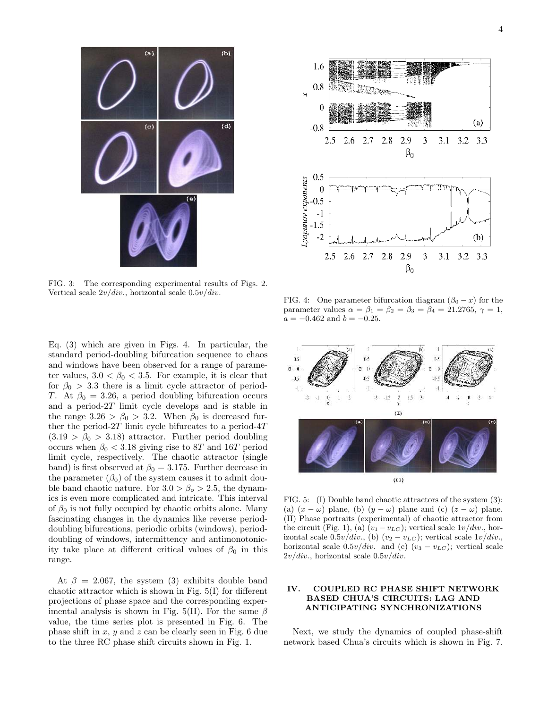

FIG. 3: The corresponding experimental results of Figs. 2. Vertical scale  $2v/div$ , horizontal scale  $0.5v/div$ .

Eq. (3) which are given in Figs. 4. In particular, the standard period-doubling bifurcation sequence to chaos and windows have been observed for a range of parameter values,  $3.0 < \beta_0 < 3.5$ . For example, it is clear that for  $\beta_0 > 3.3$  there is a limit cycle attractor of period-T. At  $\beta_0 = 3.26$ , a period doubling bifurcation occurs and a period-2T limit cycle develops and is stable in the range  $3.26 > \beta_0 > 3.2$ . When  $\beta_0$  is decreased further the period- $2T$  limit cycle bifurcates to a period- $4T$  $(3.19 > \beta_0 > 3.18)$  attractor. Further period doubling occurs when  $\beta_0 < 3.18$  giving rise to 8T and 16T period limit cycle, respectively. The chaotic attractor (single band) is first observed at  $\beta_0 = 3.175$ . Further decrease in the parameter  $(\beta_0)$  of the system causes it to admit double band chaotic nature. For  $3.0 > \beta_0 > 2.5$ , the dynamics is even more complicated and intricate. This interval of  $\beta_0$  is not fully occupied by chaotic orbits alone. Many fascinating changes in the dynamics like reverse perioddoubling bifurcations, periodic orbits (windows), perioddoubling of windows, intermittency and antimonotonicity take place at different critical values of  $\beta_0$  in this range.

At  $\beta = 2.067$ , the system (3) exhibits double band chaotic attractor which is shown in Fig. 5(I) for different projections of phase space and the corresponding experimental analysis is shown in Fig. 5(II). For the same  $\beta$ value, the time series plot is presented in Fig. 6. The phase shift in x, y and z can be clearly seen in Fig. 6 due to the three RC phase shift circuits shown in Fig. 1.



FIG. 4: One parameter bifurcation diagram  $(\beta_0 - x)$  for the parameter values  $\alpha = \beta_1 = \beta_2 = \beta_3 = \beta_4 = 21.2765, \gamma = 1,$  $a = -0.462$  and  $b = -0.25$ .



FIG. 5: (I) Double band chaotic attractors of the system (3): (a)  $(x - \omega)$  plane, (b)  $(y - \omega)$  plane and (c)  $(z - \omega)$  plane. (II) Phase portraits (experimental) of chaotic attractor from the circuit (Fig. 1), (a)  $(v_1 - v_{LC})$ ; vertical scale  $1v/div$ , horizontal scale  $0.5v/div$ , (b)  $(v_2 - v_{LC})$ ; vertical scale  $1v/div$ . horizontal scale  $0.5v/div$ . and (c)  $(v_3 - v_{LC})$ ; vertical scale  $2v/div$ , horizontal scale  $0.5v/div$ .

# IV. COUPLED RC PHASE SHIFT NETWORK BASED CHUA'S CIRCUITS: LAG AND ANTICIPATING SYNCHRONIZATIONS

Next, we study the dynamics of coupled phase-shift network based Chua's circuits which is shown in Fig. 7.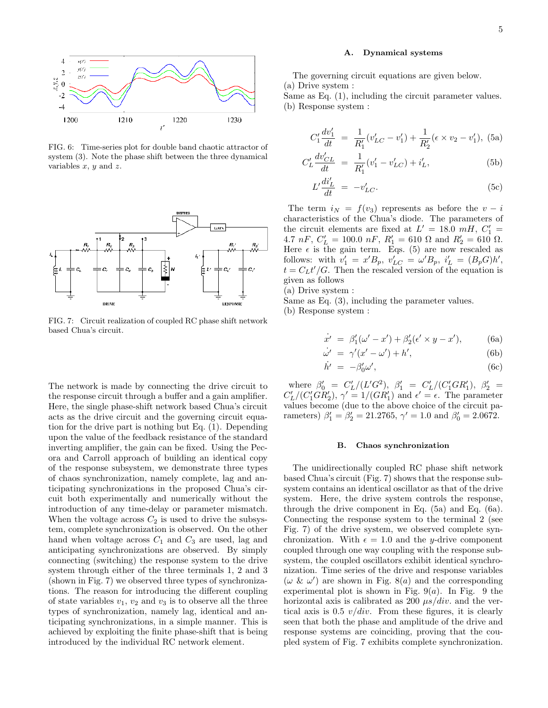

FIG. 6: Time-series plot for double band chaotic attractor of system (3). Note the phase shift between the three dynamical variables  $x, y$  and  $z$ .



FIG. 7: Circuit realization of coupled RC phase shift network based Chua's circuit.

The network is made by connecting the drive circuit to the response circuit through a buffer and a gain amplifier. Here, the single phase-shift network based Chua's circuit acts as the drive circuit and the governing circuit equation for the drive part is nothing but Eq. (1). Depending upon the value of the feedback resistance of the standard inverting amplifier, the gain can be fixed. Using the Pecora and Carroll approach of building an identical copy of the response subsystem, we demonstrate three types of chaos synchronization, namely complete, lag and anticipating synchronizations in the proposed Chua's circuit both experimentally and numerically without the introduction of any time-delay or parameter mismatch. When the voltage across  $C_2$  is used to drive the subsystem, complete synchronization is observed. On the other hand when voltage across  $C_1$  and  $C_3$  are used, lag and anticipating synchronizations are observed. By simply connecting (switching) the response system to the drive system through either of the three terminals 1, 2 and 3 (shown in Fig. 7) we observed three types of synchronizations. The reason for introducing the different coupling of state variables  $v_1, v_2$  and  $v_3$  is to observe all the three types of synchronization, namely lag, identical and anticipating synchronizations, in a simple manner. This is achieved by exploiting the finite phase-shift that is being introduced by the individual RC network element.

### A. Dynamical systems

The governing circuit equations are given below. (a) Drive system : Same as Eq. (1), including the circuit parameter values.

(b) Response system :

$$
C_1' \frac{dv_1'}{dt} = \frac{1}{R_1'} (v_{LC}' - v_1') + \frac{1}{R_2'} (\epsilon \times v_2 - v_1'),
$$
 (5a)

$$
C_L' \frac{dv'_{CL}}{dt} = \frac{1}{R_1'} (v_1' - v_{LC}') + i_L',
$$
 (5b)

$$
L'\frac{di'_L}{dt} = -v'_{LC}.\tag{5c}
$$

The term  $i_N = f(v_3)$  represents as before the  $v - i$ characteristics of the Chua's diode. The parameters of the circuit elements are fixed at  $L' = 18.0$  mH,  $C_1' =$ 4.7 nF,  $C'_{L} = 100.0 \text{ nF}, R'_{1} = 610 \Omega \text{ and } R'_{2} = 610 \Omega.$ Here  $\epsilon$  is the gain term. Eqs. (5) are now rescaled as follows: with  $v'_1 = x' B_p$ ,  $v'_{LC} = \omega' B_p$ ,  $i'_L = (B_p G) h'$ ,  $t = C_L t'/G$ . Then the rescaled version of the equation is given as follows

(a) Drive system :

Same as Eq. (3), including the parameter values.

(b) Response system :

$$
\dot{x}' = \beta_1'(\omega' - x') + \beta_2'(\epsilon' \times y - x'), \quad (6a)
$$

$$
\dot{\omega'} = \gamma'(x' - \omega') + h', \tag{6b}
$$

$$
\dot{h}' = -\beta_0' \omega',\tag{6c}
$$

where  $\beta'_0 = C'_1$  $\binom{n}{L} (L'G^2), \ \beta'_1 = C'_1$  $L'/(C'_{1}GR'_{1}), \ \beta'_{2}$  =  $C'_l$  $L'_{L}/(C'_{1}GR'_{2}), \gamma' = 1/(GR'_{1})$  and  $\epsilon' = \epsilon$ . The parameter values become (due to the above choice of the circuit parameters)  $\beta'_1 = \beta'_2 = 21.2765$ ,  $\gamma' = 1.0$  and  $\beta'_0 = 2.0672$ .

#### B. Chaos synchronization

The unidirectionally coupled RC phase shift network based Chua's circuit (Fig. 7) shows that the response subsystem contains an identical oscillator as that of the drive system. Here, the drive system controls the response, through the drive component in Eq. (5a) and Eq. (6a). Connecting the response system to the terminal 2 (see Fig. 7) of the drive system, we observed complete synchronization. With  $\epsilon = 1.0$  and the y-drive component coupled through one way coupling with the response subsystem, the coupled oscillators exhibit identical synchronization. Time series of the drive and response variables (ω & ω ′ ) are shown in Fig. 8(a) and the corresponding experimental plot is shown in Fig.  $9(a)$ . In Fig. 9 the horizontal axis is calibrated as 200  $\mu s/div$ . and the vertical axis is 0.5  $v/div$ . From these figures, it is clearly seen that both the phase and amplitude of the drive and response systems are coinciding, proving that the coupled system of Fig. 7 exhibits complete synchronization.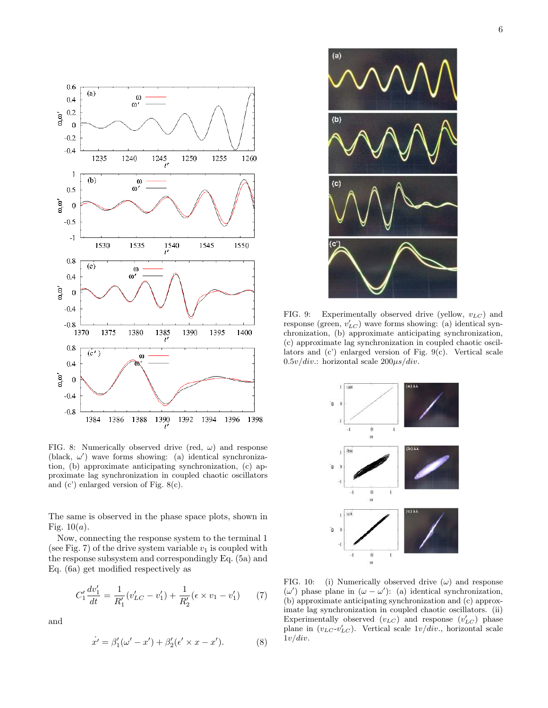

FIG. 8: Numerically observed drive (red,  $\omega$ ) and response (black,  $\omega'$ ) wave forms showing: (a) identical synchronization, (b) approximate anticipating synchronization, (c) approximate lag synchronization in coupled chaotic oscillators and (c') enlarged version of Fig. 8(c).

The same is observed in the phase space plots, shown in Fig.  $10(a)$ .

Now, connecting the response system to the terminal 1 (see Fig. 7) of the drive system variable  $v_1$  is coupled with the response subsystem and correspondingly Eq. (5a) and Eq. (6a) get modified respectively as

$$
C_1' \frac{dv_1'}{dt} = \frac{1}{R_1'} (v_{LC}' - v_1') + \frac{1}{R_2'} (\epsilon \times v_1 - v_1') \tag{7}
$$

and

$$
\dot{x}' = \beta_1'(\omega' - x') + \beta_2'(\epsilon' \times x - x'). \tag{8}
$$



FIG. 9: Experimentally observed drive (yellow,  $v_{LC}$ ) and response (green,  $v'_{LC}$ ) wave forms showing: (a) identical synchronization, (b) approximate anticipating synchronization, (c) approximate lag synchronization in coupled chaotic oscillators and (c') enlarged version of Fig. 9(c). Vertical scale  $0.5v/div$ : horizontal scale  $200\mu s/div$ .



FIG. 10: (i) Numerically observed drive  $(\omega)$  and response (ω ′ ) phase plane in (ω − ω ′ ): (a) identical synchronization, (b) approximate anticipating synchronization and (c) approximate lag synchronization in coupled chaotic oscillators. (ii) Experimentally observed  $(v_{LC})$  and response  $(v'_{LC})$  phase plane in  $(v_{LC} \cdot v'_{LC})$ . Vertical scale  $1v/div$ , horizontal scale  $1v/div.$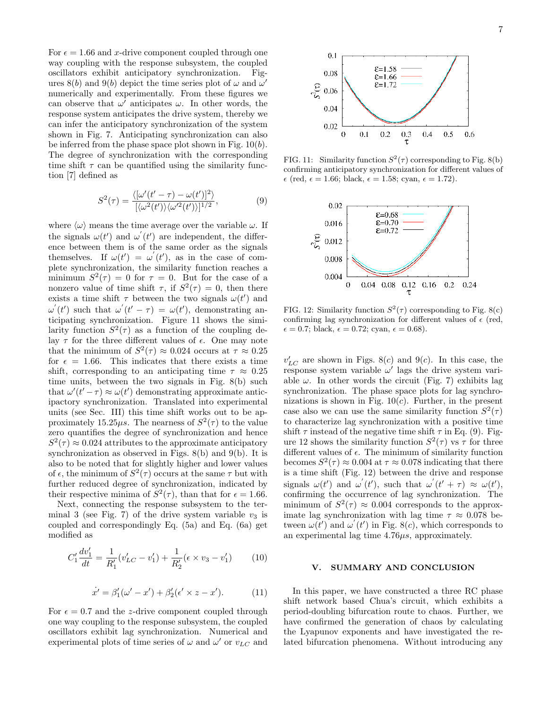For  $\epsilon = 1.66$  and x-drive component coupled through one way coupling with the response subsystem, the coupled oscillators exhibit anticipatory synchronization. Figures 8(b) and 9(b) depict the time series plot of  $\omega$  and  $\omega'$ numerically and experimentally. From these figures we can observe that  $\omega'$  anticipates  $\omega$ . In other words, the response system anticipates the drive system, thereby we can infer the anticipatory synchronization of the system shown in Fig. 7. Anticipating synchronization can also be inferred from the phase space plot shown in Fig.  $10(b)$ . The degree of synchronization with the corresponding time shift  $\tau$  can be quantified using the similarity function [7] defined as

$$
S^{2}(\tau) = \frac{\langle [\omega'(t'-\tau) - \omega(t')]^{2} \rangle}{[\langle \omega^{2}(t') \rangle \langle \omega'^{2}(t') \rangle]^{1/2}},
$$
\n(9)

where  $\langle \omega \rangle$  means the time average over the variable  $\omega$ . If the signals  $\omega(t')$  and  $\omega'(t')$  are independent, the difference between them is of the same order as the signals themselves. If  $\omega(t') = \omega'(t')$ , as in the case of complete synchronization, the similarity function reaches a minimum  $S^2(\tau) = 0$  for  $\tau = 0$ . But for the case of a nonzero value of time shift  $\tau$ , if  $S^2(\tau) = 0$ , then there exists a time shift  $\tau$  between the two signals  $\omega(t')$  and  $\omega'(t')$  such that  $\omega'(t'-\tau) = \omega(t')$ , demonstrating anticipating synchronization. Figure 11 shows the similarity function  $S^2(\tau)$  as a function of the coupling delay  $\tau$  for the three different values of  $\epsilon$ . One may note that the minimum of  $S^2(\tau) \approx 0.024$  occurs at  $\tau \approx 0.25$ for  $\epsilon = 1.66$ . This indicates that there exists a time shift, corresponding to an anticipating time  $\tau \approx 0.25$ time units, between the two signals in Fig. 8(b) such that  $\omega'(t'-\tau) \approx \omega(t')$  demonstrating approximate anticipactory synchronization. Translated into experimental units (see Sec. III) this time shift works out to be approximately 15.25 $\mu$ s. The nearness of  $S^2(\tau)$  to the value zero quantifies the degree of synchronization and hence  $S^2(\tau) \approx 0.024$  attributes to the approximate anticipatory synchronization as observed in Figs. 8(b) and 9(b). It is also to be noted that for slightly higher and lower values of  $\epsilon$ , the minimum of  $S^2(\tau)$  occurs at the same  $\tau$  but with further reduced degree of synchronization, indicated by their respective minima of  $S^2(\tau)$ , than that for  $\epsilon = 1.66$ .

Next, connecting the response subsystem to the terminal 3 (see Fig. 7) of the drive system variable  $v_3$  is coupled and correspondingly Eq. (5a) and Eq. (6a) get modified as

$$
C_1' \frac{dv_1'}{dt} = \frac{1}{R_1'} (v_{LC}' - v_1') + \frac{1}{R_2'} (\epsilon \times v_3 - v_1') \tag{10}
$$

$$
\dot{x'} = \beta_1'(\omega' - x') + \beta_2'(\epsilon' \times z - x'). \tag{11}
$$

For  $\epsilon = 0.7$  and the z-drive component coupled through one way coupling to the response subsystem, the coupled oscillators exhibit lag synchronization. Numerical and experimental plots of time series of  $\omega$  and  $\omega'$  or  $v_{LC}$  and



FIG. 11: Similarity function  $S^2(\tau)$  corresponding to Fig. 8(b) confirming anticipatory synchronization for different values of  $\epsilon$  (red,  $\epsilon = 1.66$ ; black,  $\epsilon = 1.58$ ; cyan,  $\epsilon = 1.72$ ).



FIG. 12: Similarity function  $S^2(\tau)$  corresponding to Fig. 8(c) confirming lag synchronization for different values of  $\epsilon$  (red,  $\epsilon = 0.7$ ; black,  $\epsilon = 0.72$ ; cyan,  $\epsilon = 0.68$ ).

 $v'_{LC}$  are shown in Figs. 8(c) and 9(c). In this case, the response system variable  $\omega'$  lags the drive system variable  $\omega$ . In other words the circuit (Fig. 7) exhibits lag synchronization. The phase space plots for lag synchronizations is shown in Fig.  $10(c)$ . Further, in the present case also we can use the same similarity function  $S^2(\tau)$ to characterize lag synchronization with a positive time shift  $\tau$  instead of the negative time shift  $\tau$  in Eq. (9). Figure 12 shows the similarity function  $S^2(\tau)$  vs  $\tau$  for three different values of  $\epsilon$ . The minimum of similarity function becomes  $S^2(\tau) \approx 0.004$  at  $\tau \approx 0.078$  indicating that there is a time shift (Fig. 12) between the drive and response signals  $\omega(t')$  and  $\omega'(t')$ , such that  $\omega'(t'+\tau) \approx \omega(t')$ , confirming the occurrence of lag synchronization. The minimum of  $S^2(\tau) \approx 0.004$  corresponds to the approximate lag synchronization with lag time  $\tau \approx 0.078$  between  $\omega(t')$  and  $\omega'(t')$  in Fig. 8(c), which corresponds to an experimental lag time  $4.76\mu s$ , approximately.

## V. SUMMARY AND CONCLUSION

In this paper, we have constructed a three RC phase shift network based Chua's circuit, which exhibits a period-doubling bifurcation route to chaos. Further, we have confirmed the generation of chaos by calculating the Lyapunov exponents and have investigated the related bifurcation phenomena. Without introducing any